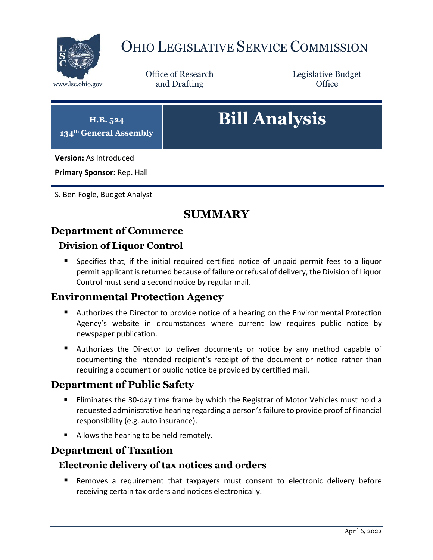

# OHIO LEGISLATIVE SERVICE COMMISSION

Office of Research www.lsc.ohio.gov **and Drafting Office** 

Legislative Budget

| H.B. 524<br>134 <sup>th</sup> General Assembly | <b>Bill Analysis</b> |
|------------------------------------------------|----------------------|
| <b>Version: As Introduced</b>                  |                      |
| Primary Sponsor: Rep. Hall                     |                      |

S. Ben Fogle, Budget Analyst

## **SUMMARY**

### **Department of Commerce**

### **Division of Liquor Control**

 Specifies that, if the initial required certified notice of unpaid permit fees to a liquor permit applicant is returned because of failure or refusal of delivery, the Division of Liquor Control must send a second notice by regular mail.

### **Environmental Protection Agency**

- Authorizes the Director to provide notice of a hearing on the Environmental Protection Agency's website in circumstances where current law requires public notice by newspaper publication.
- **Authorizes the Director to deliver documents or notice by any method capable of** documenting the intended recipient's receipt of the document or notice rather than requiring a document or public notice be provided by certified mail.

### **Department of Public Safety**

- Eliminates the 30-day time frame by which the Registrar of Motor Vehicles must hold a requested administrative hearing regarding a person's failure to provide proof of financial responsibility (e.g. auto insurance).
- **Allows the hearing to be held remotely.**

### **Department of Taxation**

#### **Electronic delivery of tax notices and orders**

 Removes a requirement that taxpayers must consent to electronic delivery before receiving certain tax orders and notices electronically.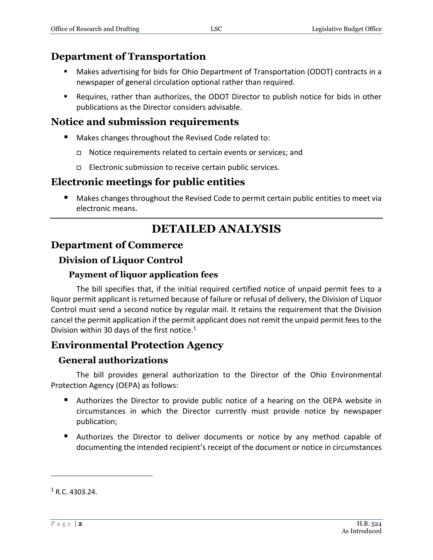### **Department of Transportation**

- Makes advertising for bids for Ohio Department of Transportation (ODOT) contracts in a newspaper of general circulation optional rather than required.
- Requires, rather than authorizes, the ODOT Director to publish notice for bids in other publications as the Director considers advisable.

### **Notice and submission requirements**

- Makes changes throughout the Revised Code related to:
	- Notice requirements related to certain events or services; and
	- □ Electronic submission to receive certain public services.

### **Electronic meetings for public entities**

 Makes changes throughout the Revised Code to permit certain public entities to meet via electronic means.

## **DETAILED ANALYSIS**

### **Department of Commerce**

### **Division of Liquor Control**

#### **Payment of liquor application fees**

The bill specifies that, if the initial required certified notice of unpaid permit fees to a liquor permit applicant is returned because of failure or refusal of delivery, the Division of Liquor Control must send a second notice by regular mail. It retains the requirement that the Division cancel the permit application if the permit applicant does not remit the unpaid permit fees to the Division within 30 days of the first notice. $1$ 

## **Environmental Protection Agency**

#### **General authorizations**

The bill provides general authorization to the Director of the Ohio Environmental Protection Agency (OEPA) as follows:

- Authorizes the Director to provide public notice of a hearing on the OEPA website in circumstances in which the Director currently must provide notice by newspaper publication;
- Authorizes the Director to deliver documents or notice by any method capable of documenting the intended recipient's receipt of the document or notice in circumstances

 $\overline{a}$ 

 $1 R.C. 4303.24.$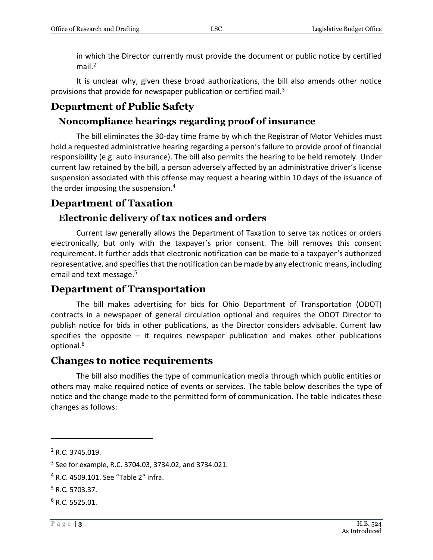in which the Director currently must provide the document or public notice by certified mail. $2$ 

It is unclear why, given these broad authorizations, the bill also amends other notice provisions that provide for newspaper publication or certified mail. $3$ 

## **Department of Public Safety**

## **Noncompliance hearings regarding proof of insurance**

The bill eliminates the 30-day time frame by which the Registrar of Motor Vehicles must hold a requested administrative hearing regarding a person's failure to provide proof of financial responsibility (e.g. auto insurance). The bill also permits the hearing to be held remotely. Under current law retained by the bill, a person adversely affected by an administrative driver's license suspension associated with this offense may request a hearing within 10 days of the issuance of the order imposing the suspension. 4

## **Department of Taxation**

## **Electronic delivery of tax notices and orders**

Current law generally allows the Department of Taxation to serve tax notices or orders electronically, but only with the taxpayer's prior consent. The bill removes this consent requirement. It further adds that electronic notification can be made to a taxpayer's authorized representative, and specifies that the notification can be made by any electronic means, including email and text message.<sup>5</sup>

## **Department of Transportation**

The bill makes advertising for bids for Ohio Department of Transportation (ODOT) contracts in a newspaper of general circulation optional and requires the ODOT Director to publish notice for bids in other publications, as the Director considers advisable. Current law specifies the opposite  $-$  it requires newspaper publication and makes other publications optional.<sup>6</sup>

## **Changes to notice requirements**

The bill also modifies the type of communication media through which public entities or others may make required notice of events or services. The table below describes the type of notice and the change made to the permitted form of communication. The table indicates these changes as follows:

 $\overline{a}$ 

<sup>2</sup> R.C. 3745.019.

<sup>&</sup>lt;sup>3</sup> See for example, R.C. 3704.03, 3734.02, and 3734.021.

<sup>4</sup> R.C. 4509.101. See "Table 2" infra.

<sup>5</sup> R.C. 5703.37.

 $6$  R.C. 5525.01.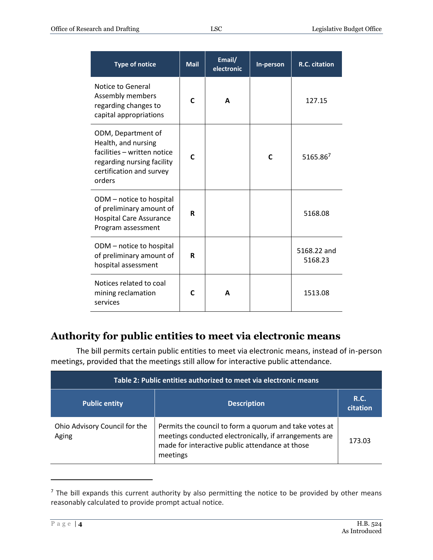| <b>Type of notice</b>                                                                                                                        | <b>Mail</b>  | Email/<br>electronic | In-person | R.C. citation          |
|----------------------------------------------------------------------------------------------------------------------------------------------|--------------|----------------------|-----------|------------------------|
| Notice to General<br>Assembly members<br>regarding changes to<br>capital appropriations                                                      | C            | A                    |           | 127.15                 |
| ODM, Department of<br>Health, and nursing<br>facilities - written notice<br>regarding nursing facility<br>certification and survey<br>orders | $\mathsf{C}$ |                      | C         | 5165.867               |
| ODM - notice to hospital<br>of preliminary amount of<br><b>Hospital Care Assurance</b><br>Program assessment                                 | R            |                      |           | 5168.08                |
| ODM - notice to hospital<br>of preliminary amount of<br>hospital assessment                                                                  | R            |                      |           | 5168.22 and<br>5168.23 |
| Notices related to coal<br>mining reclamation<br>services                                                                                    | C            | A                    |           | 1513.08                |

## **Authority for public entities to meet via electronic means**

The bill permits certain public entities to meet via electronic means, instead of in-person meetings, provided that the meetings still allow for interactive public attendance.

| Table 2: Public entities authorized to meet via electronic means |                                                                                                                                                                                 |                  |
|------------------------------------------------------------------|---------------------------------------------------------------------------------------------------------------------------------------------------------------------------------|------------------|
| <b>Public entity</b>                                             | <b>Description</b>                                                                                                                                                              | R.C.<br>citation |
| Ohio Advisory Council for the<br>Aging                           | Permits the council to form a quorum and take votes at<br>meetings conducted electronically, if arrangements are<br>made for interactive public attendance at those<br>meetings | 173.03           |

 $<sup>7</sup>$  The bill expands this current authority by also permitting the notice to be provided by other means</sup> reasonably calculated to provide prompt actual notice.

 $\overline{a}$